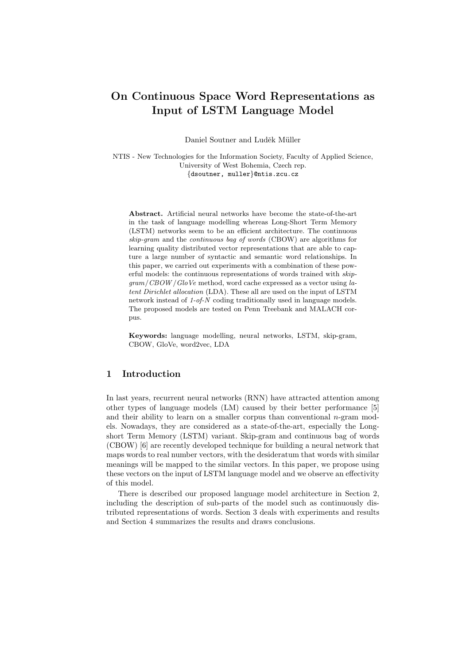# On Continuous Space Word Representations as Input of LSTM Language Model

Daniel Soutner and Luděk Müller

NTIS - New Technologies for the Information Society, Faculty of Applied Science, University of West Bohemia, Czech rep. {dsoutner, muller}@ntis.zcu.cz

Abstract. Artificial neural networks have become the state-of-the-art in the task of language modelling whereas Long-Short Term Memory (LSTM) networks seem to be an efficient architecture. The continuous skip-gram and the *continuous* bag of words (CBOW) are algorithms for learning quality distributed vector representations that are able to capture a large number of syntactic and semantic word relationships. In this paper, we carried out experiments with a combination of these powerful models: the continuous representations of words trained with skip $gram / CBOW / GloVe$  method, word cache expressed as a vector using latent Dirichlet allocation (LDA). These all are used on the input of LSTM network instead of 1-of-N coding traditionally used in language models. The proposed models are tested on Penn Treebank and MALACH corpus.

Keywords: language modelling, neural networks, LSTM, skip-gram, CBOW, GloVe, word2vec, LDA

## 1 Introduction

In last years, recurrent neural networks (RNN) have attracted attention among other types of language models (LM) caused by their better performance [5] and their ability to learn on a smaller corpus than conventional  $n$ -gram models. Nowadays, they are considered as a state-of-the-art, especially the Longshort Term Memory (LSTM) variant. Skip-gram and continuous bag of words (CBOW) [6] are recently developed technique for building a neural network that maps words to real number vectors, with the desideratum that words with similar meanings will be mapped to the similar vectors. In this paper, we propose using these vectors on the input of LSTM language model and we observe an effectivity of this model.

There is described our proposed language model architecture in Section 2, including the description of sub-parts of the model such as continuously distributed representations of words. Section 3 deals with experiments and results and Section 4 summarizes the results and draws conclusions.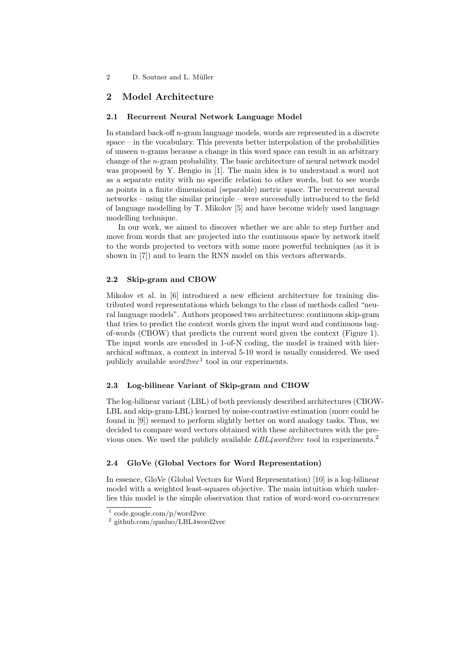2 D. Soutner and L. Müller

# 2 Model Architecture

### 2.1 Recurrent Neural Network Language Model

In standard back-off n-gram language models, words are represented in a discrete space – in the vocabulary. This prevents better interpolation of the probabilities of unseen  $n$ -grams because a change in this word space can result in an arbitrary change of the n-gram probability. The basic architecture of neural network model was proposed by Y. Bengio in [1]. The main idea is to understand a word not as a separate entity with no specific relation to other words, but to see words as points in a finite dimensional (separable) metric space. The recurrent neural networks – using the similar principle – were successfully introduced to the field of language modelling by T. Mikolov [5] and have become widely used language modelling technique.

In our work, we aimed to discover whether we are able to step further and move from words that are projected into the continuous space by network itself to the words projected to vectors with some more powerful techniques (as it is shown in [7]) and to learn the RNN model on this vectors afterwards.

## 2.2 Skip-gram and CBOW

Mikolov et al. in [6] introduced a new efficient architecture for training distributed word representations which belongs to the class of methods called "neural language models". Authors proposed two architectures: continuous skip-gram that tries to predict the context words given the input word and continuous bagof-words (CBOW) that predicts the current word given the context (Figure 1). The input words are encoded in 1-of-N coding, the model is trained with hierarchical softmax, a context in interval 5-10 word is usually considered. We used publicly available  $word2vec^1$  tool in our experiments.

## 2.3 Log-bilinear Variant of Skip-gram and CBOW

The log-bilinear variant (LBL) of both previously described architectures (CBOW-LBL and skip-gram-LBL) learned by noise-contrastive estimation (more could be found in [9]) seemed to perform slightly better on word analogy tasks. Thus, we decided to compare word vectors obtained with these architectures with the previous ones. We used the publicly available LBL4word2vec tool in experiments.<sup>2</sup>

#### 2.4 GloVe (Global Vectors for Word Representation)

In essence, GloVe (Global Vectors for Word Representation) [10] is a log-bilinear model with a weighted least-squares objective. The main intuition which underlies this model is the simple observation that ratios of word-word co-occurrence

<sup>1</sup> code.google.com/p/word2vec

<sup>2</sup> github.com/qunluo/LBL4word2vec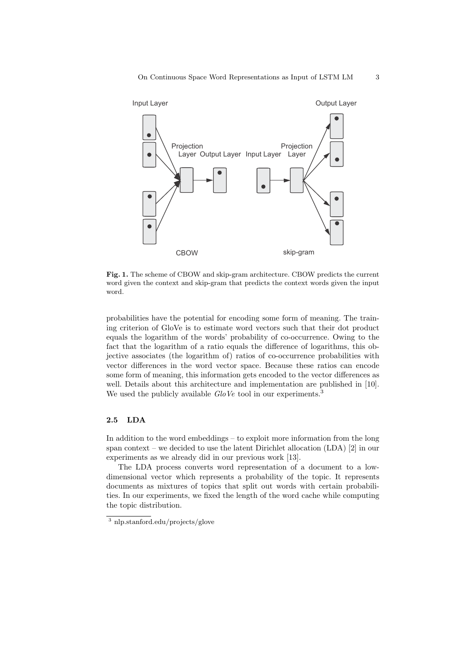

Fig. 1. The scheme of CBOW and skip-gram architecture. CBOW predicts the current word given the context and skip-gram that predicts the context words given the input word.

probabilities have the potential for encoding some form of meaning. The training criterion of GloVe is to estimate word vectors such that their dot product equals the logarithm of the words' probability of co-occurrence. Owing to the fact that the logarithm of a ratio equals the difference of logarithms, this objective associates (the logarithm of) ratios of co-occurrence probabilities with vector differences in the word vector space. Because these ratios can encode some form of meaning, this information gets encoded to the vector differences as well. Details about this architecture and implementation are published in [10]. We used the publicly available  $GloVe$  tool in our experiments.<sup>3</sup>

## 2.5 LDA

In addition to the word embeddings – to exploit more information from the long span context – we decided to use the latent Dirichlet allocation (LDA) [2] in our experiments as we already did in our previous work [13].

The LDA process converts word representation of a document to a lowdimensional vector which represents a probability of the topic. It represents documents as mixtures of topics that split out words with certain probabilities. In our experiments, we fixed the length of the word cache while computing the topic distribution.

<sup>3</sup> nlp.stanford.edu/projects/glove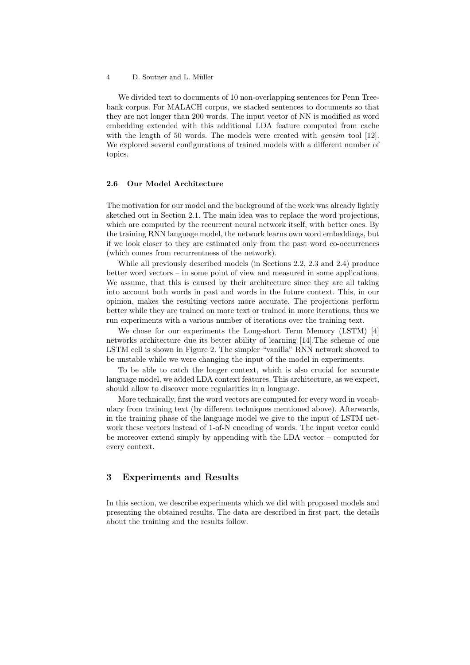We divided text to documents of 10 non-overlapping sentences for Penn Treebank corpus. For MALACH corpus, we stacked sentences to documents so that they are not longer than 200 words. The input vector of NN is modified as word embedding extended with this additional LDA feature computed from cache with the length of 50 words. The models were created with *gensim* tool  $[12]$ . We explored several configurations of trained models with a different number of topics.

## 2.6 Our Model Architecture

The motivation for our model and the background of the work was already lightly sketched out in Section 2.1. The main idea was to replace the word projections, which are computed by the recurrent neural network itself, with better ones. By the training RNN language model, the network learns own word embeddings, but if we look closer to they are estimated only from the past word co-occurrences (which comes from recurrentness of the network).

While all previously described models (in Sections 2.2, 2.3 and 2.4) produce better word vectors – in some point of view and measured in some applications. We assume, that this is caused by their architecture since they are all taking into account both words in past and words in the future context. This, in our opinion, makes the resulting vectors more accurate. The projections perform better while they are trained on more text or trained in more iterations, thus we run experiments with a various number of iterations over the training text.

We chose for our experiments the Long-short Term Memory (LSTM) [4] networks architecture due its better ability of learning [14].The scheme of one LSTM cell is shown in Figure 2. The simpler "vanilla" RNN network showed to be unstable while we were changing the input of the model in experiments.

To be able to catch the longer context, which is also crucial for accurate language model, we added LDA context features. This architecture, as we expect, should allow to discover more regularities in a language.

More technically, first the word vectors are computed for every word in vocabulary from training text (by different techniques mentioned above). Afterwards, in the training phase of the language model we give to the input of LSTM network these vectors instead of 1-of-N encoding of words. The input vector could be moreover extend simply by appending with the LDA vector – computed for every context.

## 3 Experiments and Results

In this section, we describe experiments which we did with proposed models and presenting the obtained results. The data are described in first part, the details about the training and the results follow.

<sup>4</sup> D. Soutner and L. Müller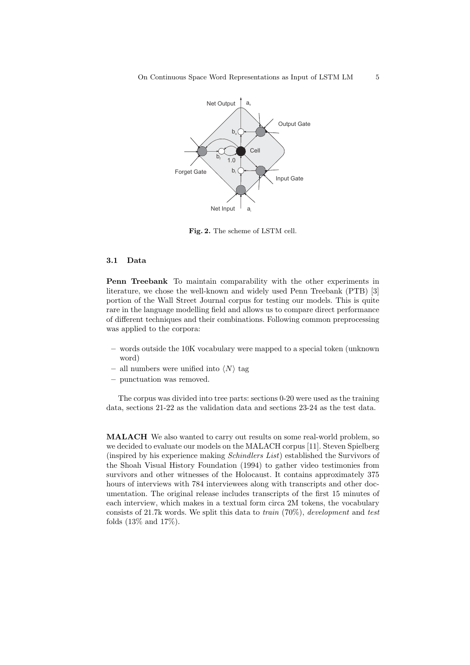

Fig. 2. The scheme of LSTM cell.

## 3.1 Data

Penn Treebank To maintain comparability with the other experiments in literature, we chose the well-known and widely used Penn Treebank (PTB) [3] portion of the Wall Street Journal corpus for testing our models. This is quite rare in the language modelling field and allows us to compare direct performance of different techniques and their combinations. Following common preprocessing was applied to the corpora:

- words outside the 10K vocabulary were mapped to a special token (unknown word)
- all numbers were unified into  $\langle N \rangle$  tag
- punctuation was removed.

The corpus was divided into tree parts: sections 0-20 were used as the training data, sections 21-22 as the validation data and sections 23-24 as the test data.

MALACH We also wanted to carry out results on some real-world problem, so we decided to evaluate our models on the MALACH corpus [11]. Steven Spielberg (inspired by his experience making Schindlers List) established the Survivors of the Shoah Visual History Foundation (1994) to gather video testimonies from survivors and other witnesses of the Holocaust. It contains approximately 375 hours of interviews with 784 interviewees along with transcripts and other documentation. The original release includes transcripts of the first 15 minutes of each interview, which makes in a textual form circa 2M tokens, the vocabulary consists of 21.7k words. We split this data to train (70%), development and test folds (13% and 17%).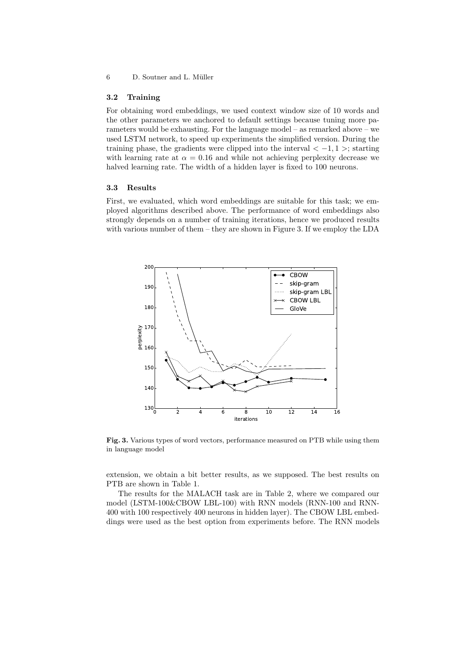## 6 D. Soutner and L. Müller

#### 3.2 Training

For obtaining word embeddings, we used context window size of 10 words and the other parameters we anchored to default settings because tuning more parameters would be exhausting. For the language model – as remarked above – we used LSTM network, to speed up experiments the simplified version. During the training phase, the gradients were clipped into the interval  $\langle -1, 1 \rangle$ ; starting with learning rate at  $\alpha = 0.16$  and while not achieving perplexity decrease we halved learning rate. The width of a hidden layer is fixed to 100 neurons.

### 3.3 Results

First, we evaluated, which word embeddings are suitable for this task; we employed algorithms described above. The performance of word embeddings also strongly depends on a number of training iterations, hence we produced results with various number of them – they are shown in Figure 3. If we employ the LDA



Fig. 3. Various types of word vectors, performance measured on PTB while using them in language model

extension, we obtain a bit better results, as we supposed. The best results on PTB are shown in Table 1.

The results for the MALACH task are in Table 2, where we compared our model (LSTM-100&CBOW LBL-100) with RNN models (RNN-100 and RNN-400 with 100 respectively 400 neurons in hidden layer). The CBOW LBL embeddings were used as the best option from experiments before. The RNN models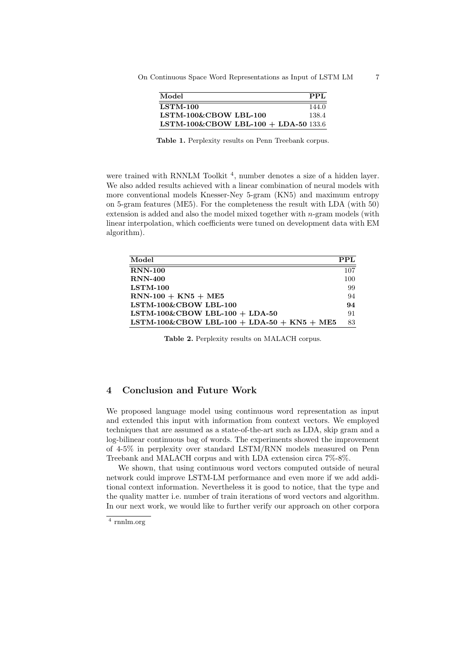| Model                                | PPL   |
|--------------------------------------|-------|
| $LSTM-100$                           | 144.0 |
| $LSTM-100\&CBOWLBI-100$              | 138.4 |
| LSTM-100&CBOW LBL-100 + LDA-50 133.6 |       |

Table 1. Perplexity results on Penn Treebank corpus.

were trained with RNNLM Toolkit<sup>4</sup>, number denotes a size of a hidden layer. We also added results achieved with a linear combination of neural models with more conventional models Knesser-Ney 5-gram (KN5) and maximum entropy on 5-gram features (ME5). For the completeness the result with LDA (with 50) extension is added and also the model mixed together with  $n$ -gram models (with linear interpolation, which coefficients were tuned on development data with EM algorithm).

| Model                                      | PPL |
|--------------------------------------------|-----|
| <b>RNN-100</b>                             | 107 |
| $RNN-400$                                  | 100 |
| $LSTM-100$                                 | 99  |
| $RNN-100 + KN5 + ME5$                      | 94  |
| LSTM-100&CBOW LBL-100                      | 94  |
| LSTM-100&CBOW LBL-100 + LDA-50             | 91  |
| LSTM-100&CBOW LBL-100 + LDA-50 + KN5 + ME5 | 83  |

Table 2. Perplexity results on MALACH corpus.

## 4 Conclusion and Future Work

We proposed language model using continuous word representation as input and extended this input with information from context vectors. We employed techniques that are assumed as a state-of-the-art such as LDA, skip gram and a log-bilinear continuous bag of words. The experiments showed the improvement of 4-5% in perplexity over standard LSTM/RNN models measured on Penn Treebank and MALACH corpus and with LDA extension circa 7%-8%.

We shown, that using continuous word vectors computed outside of neural network could improve LSTM-LM performance and even more if we add additional context information. Nevertheless it is good to notice, that the type and the quality matter i.e. number of train iterations of word vectors and algorithm. In our next work, we would like to further verify our approach on other corpora

<sup>4</sup> rnnlm.org